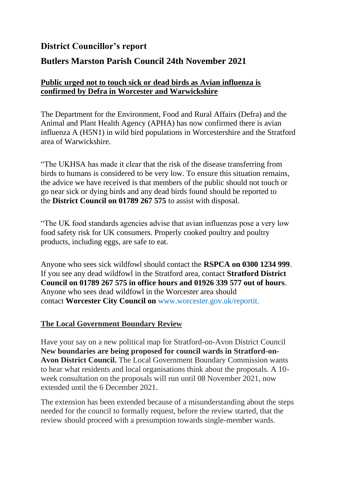# **District Councillor's report**

## **Butlers Marston Parish Council 24th November 2021**

### **Public urged not to touch sick or dead birds as Avian influenza is confirmed by Defra in Worcester and Warwickshire**

The Department for the Environment, Food and Rural Affairs (Defra) and the Animal and Plant Health Agency (APHA) has now confirmed there is avian influenza A (H5N1) in wild bird populations in Worcestershire and the Stratford area of Warwickshire.

"The UKHSA has made it clear that the risk of the disease transferring from birds to humans is considered to be very low. To ensure this situation remains, the advice we have received is that members of the public should not touch or go near sick or dying birds and any dead birds found should be reported to the **District Council on 01789 267 575** to assist with disposal.

"The UK food standards agencies advise that avian influenzas pose a very low food safety risk for UK consumers. Properly cooked poultry and poultry products, including eggs, are safe to eat.

Anyone who sees sick wildfowl should contact the **RSPCA on 0300 1234 999**. If you see any dead wildfowl in the Stratford area, contact **Stratford District Council on 01789 267 575 in office hours and 01926 339 577 out of hours**. Anyone who sees dead wildfowl in the Worcester area should contact **Worcester City Council on** www.worcester.gov.uk/reportit.

#### **The Local Government Boundary Review**

Have your say on a new political map for Stratford-on-Avon District Council **New boundaries are being proposed for council wards in Stratford-on-Avon District Council.** The Local Government Boundary Commission wants to hear what residents and local organisations think about the proposals. A 10 week consultation on the proposals will run until 08 November 2021, now extended until the 6 December 2021.

The extension has been extended because of a misunderstanding about the steps needed for the council to formally request, before the review started, that the review should proceed with a presumption towards single-member wards.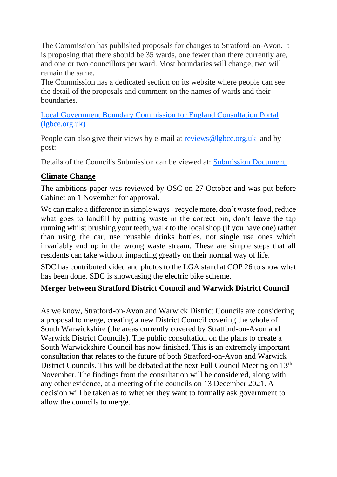The Commission has published proposals for changes to Stratford-on-Avon. It is proposing that there should be 35 wards, one fewer than there currently are, and one or two councillors per ward. Most boundaries will change, two will remain the same.

The Commission has a dedicated section on its website where people can see the detail of the proposals and comment on the names of wards and their **boundaries** 

[Local Government Boundary Commission for England Consultation Portal](https://consultation.lgbce.org.uk/node/24993)  [\(lgbce.org.uk\)](https://consultation.lgbce.org.uk/node/24993)

People can also give their views by e-mail at [reviews@lgbce.org.uk](mailto:reviews@lgbce.org.uk) and by post:

Details of the Council's Submission can be viewed at: [Submission Document](https://www.stratford.gov.uk/doc/210148/name/Council%20Size%20Submission%20Document%20Final.pdf)

### **Climate Change**

The ambitions paper was reviewed by OSC on 27 October and was put before Cabinet on 1 November for approval.

We can make a difference in simple ways - recycle more, don't waste food, reduce what goes to landfill by putting waste in the correct bin, don't leave the tap running whilst brushing your teeth, walk to the local shop (if you have one) rather than using the car, use reusable drinks bottles, not single use ones which invariably end up in the wrong waste stream. These are simple steps that all residents can take without impacting greatly on their normal way of life.

SDC has contributed video and photos to the LGA stand at COP 26 to show what has been done. SDC is showcasing the electric bike scheme.

### **Merger between Stratford District Council and Warwick District Council**

As we know, Stratford-on-Avon and Warwick District Councils are considering a proposal to merge, creating a new District Council covering the whole of South Warwickshire (the areas currently covered by Stratford-on-Avon and Warwick District Councils). The public consultation on the plans to create a South Warwickshire Council has now finished. This is an extremely important consultation that relates to the future of both Stratford-on-Avon and Warwick District Councils. This will be debated at the next Full Council Meeting on 13<sup>th</sup> November. The findings from the consultation will be considered, along with any other evidence, at a meeting of the councils on 13 December 2021. A decision will be taken as to whether they want to formally ask government to allow the councils to merge.